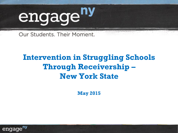

Our Students. Their Moment.

## **Intervention in Struggling Schools Through Receivership – New York State**

**May 2015** 

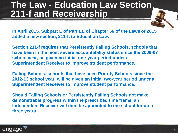## **The Law - Education Law Section 211-f and Receivership**

**In April 2015, Subpart E of Part EE of Chapter 56 of the Laws of 2015 added a new section, 211-f, to Education Law.** 

**Section 211-f requires that Persistently Failing Schools, schools that have been in the most severe accountability status since the 2006-07 school year, be given an initial one-year period under a Superintendent Receiver to improve student performance.** 

**Failing Schools, schools that have been Priority Schools since the 2012-13 school year, will be given an initial two-year period under a Superintendent Receiver to improve student performance.** 

**Should Failing Schools or Persistently Failing Schools not make demonstrable progress within the prescribed time frame, an Independent Receiver will then be appointed to the school for up to three years.**

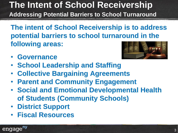## **The Intent of School Receivership Addressing Potential Barriers to School Turnaround**

**The intent of School Receivership is to address potential barriers to school turnaround in the following areas:**

• **Governance**



- **School Leadership and Staffing**
- **Collective Bargaining Agreements**
- **Parent and Community Engagement**
- **Social and Emotional Developmental Health of Students (Community Schools)**
- **District Support**
- **Fiscal Resources**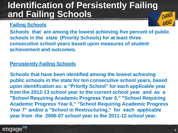## **Identification of Persistently Failing and Failing Schools**

#### **Failing Schools**

**Schools that are among the lowest achieving five percent of public schools in the state (Priority Schools) for at least three consecutive school years based upon measures of student achievement and outcomes.**

#### **Persistently Failing Schools**

**Schools that have been identified among the lowest achieving public schools in the state for ten consecutive school years, based upon identification as: a "Priority School" for each applicable year from the 2012-13 school year to the current school year and as a "School Requiring Academic Progress Year 5," "School Requiring Academic Progress Year 6," "School Requiring Academic Progress Year 7" and/or a "School in Restructuring," for each applicable year from the 2006-07 school year to the 2011-12 school year.**

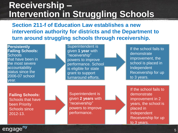## **Receivership – Intervention in Struggling Schools**

**Section 211-f of Education Law establishes a new intervention authority for districts and the Department to turn around struggling schools through receivership.** 

**Persistently Failing Schools: Schools** that have been in the most severe accountability status since the 2006-07 school year.

Superintendent is given **1 year** with "receivership" powers to improve performance. School is eligible for state grant to support turnaround efforts.

If the school fails to demonstrate improvement, the school is placed in Independent Receivership for up to 3 years.

**Failing Schools:**  Schools that have been Priority Schools since 2012-13.

Superintendent is given **2 years** with "receivership" powers to improve performance.

If the school fails to demonstrate improvement in 2 years, the school is placed in Independent Receivership for up to 3 years.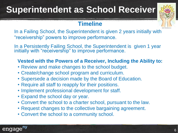## **Superintendent as School Receiver**



#### **Timeline**

In a Failing School, the Superintendent is given 2 years initially with "receivership" powers to improve performance.

In a Persistently Failing School, the Superintendent is given 1 year initially with "receivership" to improve performance.

#### **Vested with the Powers of a Receiver, Including the Ability to:**

- Review and make changes to the school budget.
- Create/change school program and curriculum.
- Supersede a decision made by the Board of Education.
- Require all staff to reapply for their positions.
- Implement professional development for staff.
- Expand the school day or year.
- Convert the school to a charter school, pursuant to the law.
- Request changes to the collective bargaining agreement.
- Convert the school to a community school.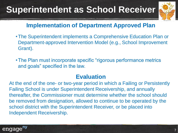## **Superintendent as School Receiver**



### **Implementation of Department Approved Plan**

- •The Superintendent implements a Comprehensive Education Plan or Department-approved Intervention Model (e.g., School Improvement Grant).
- •The Plan must incorporate specific "rigorous performance metrics and goals" specified in the law.

### **Evaluation**

At the end of the one- or two-year period in which a Failing or Persistently Failing School is under Superintendent Receivership, and annually thereafter, the Commissioner must determine whether the school should be removed from designation, allowed to continue to be operated by the school district with the Superintendent Receiver, or be placed into Independent Receivership.

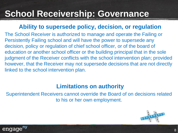## **School Receivership: Governance**

#### **Ability to supersede policy, decision, or regulation**

The School Receiver is authorized to manage and operate the Failing or Persistently Failing school and will have the power to supersede any decision, policy or regulation of chief school officer, or of the board of education or another school officer or the building principal that in the sole judgment of the Receiver conflicts with the school intervention plan; provided however, that the Receiver may not supersede decisions that are not directly linked to the school intervention plan.

### **Limitations on authority**

Superintendent Receivers cannot override the Board of on decisions related to his or her own employment.



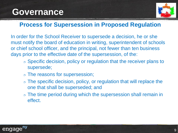

### **Process for Supersession in Proposed Regulation**

In order for the School Receiver to supersede a decision, he or she must notify the board of education in writing, superintendent of schools or chief school officer, and the principal, not fewer than ten business days prior to the effective date of the supersession, of the:

- $\circ$  Specific decision, policy or regulation that the receiver plans to supersede;
- The reasons for supersession;
- $\circ$  The specific decision, policy, or regulation that will replace the one that shall be superseded; and
- o The time period during which the supersession shall remain in effect.

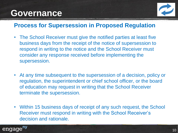

### **Process for Supersession in Proposed Regulation**

- The School Receiver must give the notified parties at least five business days from the receipt of the notice of supersession to respond in writing to the notice and the School Receiver must consider any response received before implementing the supersession.
- At any time subsequent to the supersession of a decision, policy or regulation, the superintendent or chief school officer, or the board of education may request in writing that the School Receiver terminate the supersession.
- Within 15 business days of receipt of any such request, the School Receiver must respond in writing with the School Receiver's decision and rationale.

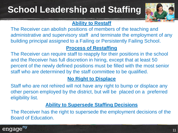## **School Leadership and Staffing**



#### **Ability to Restaff**

The Receiver can abolish positions of members of the teaching and administrative and supervisory staff and terminate the employment of any building principal assigned to a Failing or Persistently Failing School.

#### **Process of Restaffing**

The Receiver can require staff to reapply for their positions in the school and the Receiver has full discretion in hiring, except that at least 50 percent of the newly defined positions must be filled with the most senior staff who are determined by the staff committee to be qualified.

#### **No Right to Displace**

Staff who are not rehired will not have any right to bump or displace any other person employed by the district, but will be placed on a preferred eligibility list.

#### **Ability to Supersede Staffing Decisions**

The Receiver has the right to supersede the employment decisions of the Board of Education.

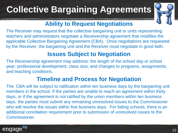# **Collective Bargaining Agreements**



## **Ability to Request Negotiations**

The Receiver may request that the collective bargaining unit or units representing teachers and administrators negotiate a Receivership agreement that modifies the applicable Collective Bargaining Agreement (CBA). Once negotiations are requested by the Receiver, the bargaining unit and the Receiver must negotiate in good faith.

## **Issues Subject to Negotiation**

The Receivership agreement may address: the length of the school day or school year; professional development; class size; and changes to programs, assignments, and teaching conditions.

### **Timeline and Process for Negotiation**

The CBA will be subject to ratification within ten business days by the bargaining unit members in the school. If the parties are unable to reach an agreement within thirty days, or if the agreement is not ratified by the union members within ten business days, the parties must submit any remaining unresolved issues to the Commissioner who will resolve the issues within five business days. For failing schools, there is an additional conciliation requirement prior to submission of unresolved issues to the Commissioner.

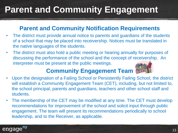# **Parent and Community Engagement**

### **Parent and Community Notification Requirements**

- The district must provide annual notice to parents and guardians of the students of a school that may be placed into receivership. Notices must be translated in the native languages of the students.
- The district must also hold a public meeting or hearing annually for purposes of discussing the performance of the school and the concept of receivership. An interpreter must be present at the public meetings.

### **Community Engagement Team**

- Upon the designation of a Failing School or Persistently Failing School, the district will establish a Community Engagement Team (CET), including, but not limited to, the school principal, parents and guardians, teachers and other school staff and students.
- The membership of the CET may be modified at any time. The CET must develop recommendations for improvement of the school and solicit input through public engagement. The team will present its recommendations periodically to school leadership, and to the Receiver, as applicable.

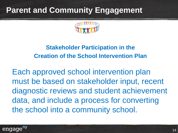## **Parent and Community Engagement**



## **Stakeholder Participation in the Creation of the School Intervention Plan**

Each approved school intervention plan must be based on stakeholder input, recent diagnostic reviews and student achievement data, and include a process for converting the school into a community school.

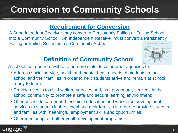## **Conversion to Community Schools**

### **Requirement for Conversion**

A Superintendent Receiver may convert a Persistently Failing or Failing School into a Community School. An Independent Receiver must convert a Persistently Failing or Failing School into a Community School.



## **Definition of Community School**

A school that partners with one or more state, local or other agencies to:

- Address social service, health and mental health needs of students in the school and their families in order to help students arrive and remain at school ready to learn;
- Provide access to child welfare services and, as appropriate, services in the school community to promote a safe and secure learning environment;
- Offer access to career and technical education and workforce development services to students in the school and their families in order to provide students and families with meaningful employment skills and opportunities;
- Offer mentoring and other youth development programs.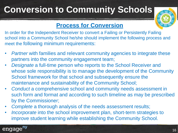# **Conversion to Community Schools**



### **Process for Conversion**

In order for the Independent Receiver to convert a Failing or Persistently Failing school into a Community School he/she should implement the following process and meet the following minimum requirements:

- *Partner* with families and relevant community agencies to integrate these partners into the community engagement team;
- *Designate* a full-time person who reports to the School Receiver and whose sole responsibility is to manage the development of the Community School framework for that school and subsequently ensure the maintenance and sustainability of the Community School;
- *Conduct* a comprehensive school and community needs assessment in such form and format and according to such timeline as may be prescribed by the Commissioner;
- *Complete* a thorough analysis of the needs assessment results;
- *Incorporate* into the school improvement plan, short-term strategies to improve student learning while establishing the Community School.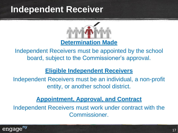## **Independent Receiver**



Independent Receivers must be appointed by the school board, subject to the Commissioner's approval.

#### **Eligible Independent Receivers**

Independent Receivers must be an individual, a non-profit entity, or another school district.

#### **Appointment, Approval, and Contract**

Independent Receivers must work under contract with the Commissioner.

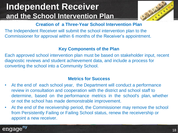## **Independent Receiver and the School Intervention Plan**



#### **Creation of a Three-Year School Intervention Plan**

The Independent Receiver will submit the school intervention plan to the Commissioner for approval within 6 months of the Receiver's appointment.

#### **Key Components of the Plan**

Each approved school intervention plan must be based on stakeholder input, recent diagnostic reviews and student achievement data, and include a process for converting the school into a Community School.

#### **Metrics for Success**

- At the end of each school year, the Department will conduct a performance review in consultation and cooperation with the district and school staff to determine, based on the performance metrics in the school's plan, whether or not the school has made demonstrable improvement.
- At the end of the receivership period, the Commissioner may remove the school from Persistently Failing or Failing School status, renew the receivership or appoint a new receiver.

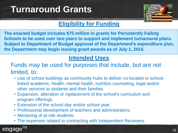## **Turnaround Grants**



## **Eligibility for Funding**

**The enacted budget includes \$75 million in grants for Persistently Failing Schools to be used over two years to support and implement turnaround plans. Subject to Department of Budget approval of the Department's expenditure plan, the Department may begin issuing grant awards as of July 1, 2015.**

## **Intended Uses**

#### Funds may be used for purposes that include, but are not limited, to:

- Use of school buildings as community hubs to deliver co-located or schoollinked academic, health, mental health, nutrition counseling, legal and/or other services to students and their families.
- Expansion, alteration or replacement of the school's curriculum and program offerings.
- Extension of the school day and/or school year.
- Professional development of teachers and administrators.
- Mentoring of at-risk students.
- The expenses related to contracting with Independent Receivers.